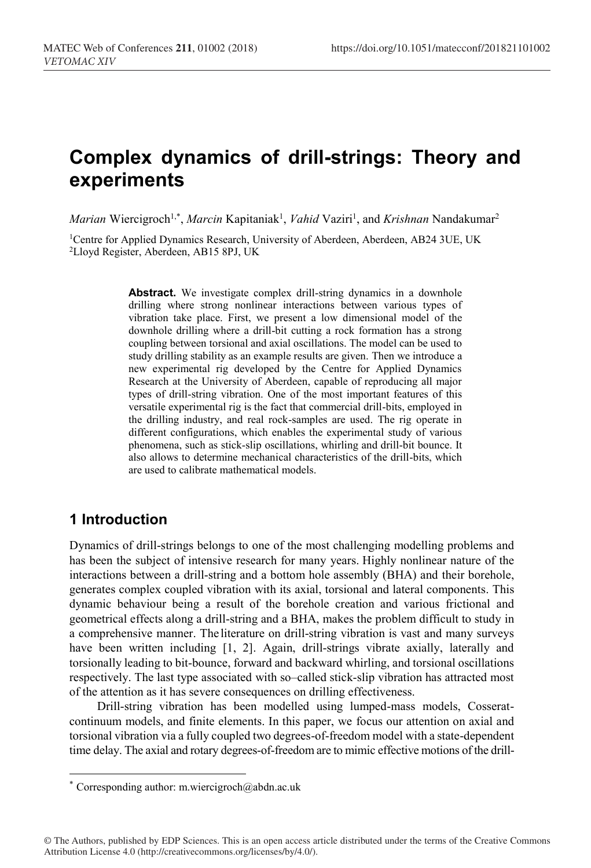# **Complex dynamics of drill-strings: Theory and experiments**

*Marian* Wiercigroch<sup>1,\*</sup>, *Marcin* Kapitaniak<sup>1</sup>, *Vahid* Vaziri<sup>1</sup>, and *Krishnan* Nandakumar<sup>2</sup>

<sup>1</sup>Centre for Applied Dynamics Research, University of Aberdeen, Aberdeen, AB24 3UE, UK 2Lloyd Register, Aberdeen, AB15 8PJ, UK

> Abstract. We investigate complex drill-string dynamics in a downhole drilling where strong nonlinear interactions between various types of vibration take place. First, we present a low dimensional model of the downhole drilling where a drill-bit cutting a rock formation has a strong coupling between torsional and axial oscillations. The model can be used to study drilling stability as an example results are given. Then we introduce a new experimental rig developed by the Centre for Applied Dynamics Research at the University of Aberdeen, capable of reproducing all major types of drill-string vibration. One of the most important features of this versatile experimental rig is the fact that commercial drill-bits, employed in the drilling industry, and real rock-samples are used. The rig operate in different configurations, which enables the experimental study of various phenomena, such as stick-slip oscillations, whirling and drill-bit bounce. It also allows to determine mechanical characteristics of the drill-bits, which are used to calibrate mathematical models.

## **1 Introduction**

-

Dynamics of drill-strings belongs to one of the most challenging modelling problems and has been the subject of intensive research for many years. Highly nonlinear nature of the interactions between a drill-string and a bottom hole assembly (BHA) and their borehole, generates complex coupled vibration with its axial, torsional and lateral components. This dynamic behaviour being a result of the borehole creation and various frictional and geometrical effects along a drill-string and a BHA, makes the problem difficult to study in a comprehensive manner. The literature on drill-string vibration is vast and many surveys have been written including [1, 2]. Again, drill-strings vibrate axially, laterally and torsionally leading to bit-bounce, forward and backward whirling, and torsional oscillations respectively. The last type associated with so–called stick-slip vibration has attracted most of the attention as it has severe consequences on drilling effectiveness.

Drill-string vibration has been modelled using lumped-mass models, Cosseratcontinuum models, and finite elements. In this paper, we focus our attention on axial and torsional vibration via a fully coupled two degrees-of-freedom model with a state-dependent time delay. The axial and rotary degrees-of-freedom are to mimic effective motions of the drill-

© The Authors, published by EDP Sciences. This is an open access article distributed under the terms of the Creative Commons Attribution License 4.0 (http://creativecommons.org/licenses/by/4.0/).

<sup>\*</sup> Corresponding author: m.wiercigroch@abdn.ac.uk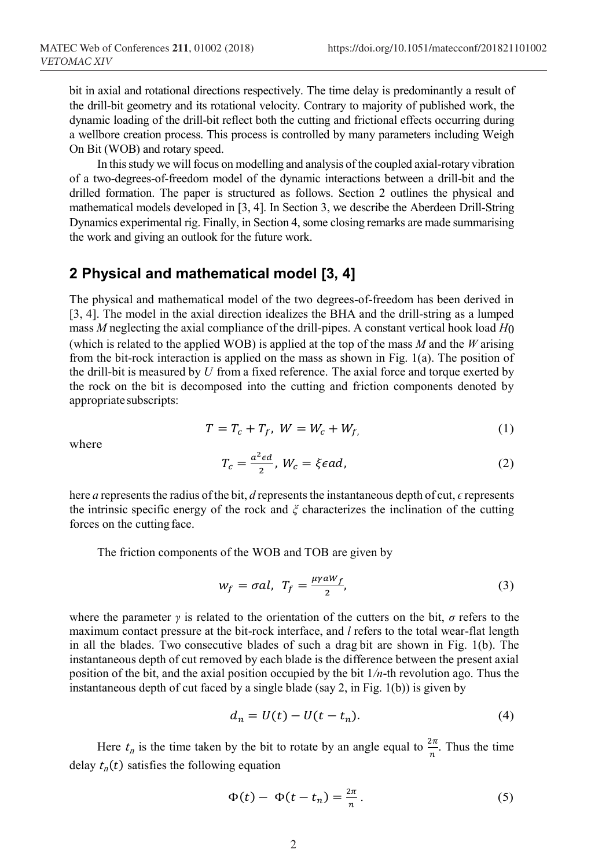bit in axial and rotational directions respectively. The time delay is predominantly a result of the drill-bit geometry and its rotational velocity. Contrary to majority of published work, the dynamic loading of the drill-bit reflect both the cutting and frictional effects occurring during a wellbore creation process. This process is controlled by many parameters including Weigh On Bit (WOB) and rotary speed.

In this study we will focus on modelling and analysis of the coupled axial-rotary vibration of a two-degrees-of-freedom model of the dynamic interactions between a drill-bit and the drilled formation. The paper is structured as follows. Section 2 outlines the physical and mathematical models developed in [3, 4]. In Section 3, we describe the Aberdeen Drill-String Dynamics experimental rig. Finally, in Section 4, some closing remarks are made summarising the work and giving an outlook for the future work.

## **2 Physical and mathematical model [3, 4]**

The physical and mathematical model of the two degrees-of-freedom has been derived in [3, 4]. The model in the axial direction idealizes the BHA and the drill-string as a lumped mass *M* neglecting the axial compliance of the drill-pipes. A constant vertical hook load *H*0 (which is related to the applied WOB) is applied at the top of the mass *M* and the *W* arising from the bit-rock interaction is applied on the mass as shown in Fig. 1(a). The position of the drill-bit is measured by *U* from a fixed reference. The axial force and torque exerted by the rock on the bit is decomposed into the cutting and friction components denoted by appropriate subscripts:

 $T = T_c + T_f$ ,  $W = W_c + W_f$ ,

where

$$
T_c = \frac{a^2 \epsilon d}{2}, \ W_c = \xi \epsilon a d,
$$
 (2)

(1)

here *a* represents the radius of the bit, *d* represents the instantaneous depth of cut,  $\epsilon$  represents the intrinsic specific energy of the rock and *ξ* characterizes the inclination of the cutting forces on the cutting face.

The friction components of the WOB and TOB are given by

$$
w_f = \sigma a l, \ T_f = \frac{\mu \gamma a w_f}{2}, \tag{3}
$$

where the parameter  $\gamma$  is related to the orientation of the cutters on the bit,  $\sigma$  refers to the maximum contact pressure at the bit-rock interface, and *l* refers to the total wear-flat length in all the blades. Two consecutive blades of such a drag bit are shown in Fig. 1(b). The instantaneous depth of cut removed by each blade is the difference between the present axial position of the bit, and the axial position occupied by the bit 1*/n*-th revolution ago. Thus the instantaneous depth of cut faced by a single blade (say 2, in Fig. 1(b)) is given by

$$
d_n = U(t) - U(t - t_n). \tag{4}
$$

Here  $t_n$  is the time taken by the bit to rotate by an angle equal to  $\frac{2\pi}{n}$ . Thus the time delay  $t_n(t)$  satisfies the following equation

$$
\Phi(t) - \Phi(t - t_n) = \frac{2\pi}{n}.
$$
\n(5)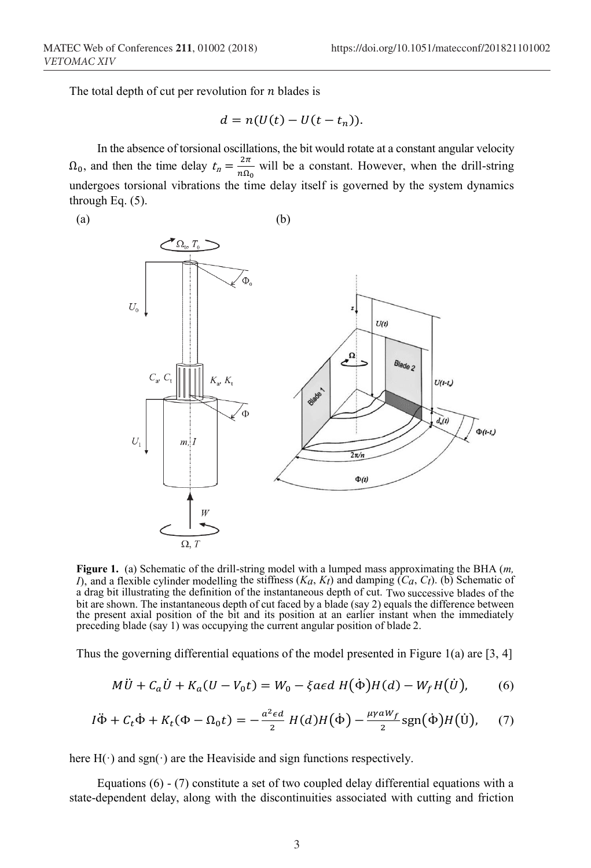The total depth of cut per revolution for  $n$  blades is

$$
d = n(U(t) - U(t - t_n)).
$$

In the absence of torsional oscillations, the bit would rotate at a constant angular velocity  $\Omega_0$ , and then the time delay  $t_n = \frac{2\pi}{n\Omega_0}$  will be a constant. However, when the drill-string undergoes torsional vibrations the time delay itself is governed by the system dynamics through Eq. (5).



*I*), and a flexible cylinder modelling the stiffness  $(K_a, K_t)$  and damping  $(C_a, C_t)$ . (b) Schematic of a drag bit illustrating the definition of the instantaneous depth of cut. Two successive blades of the bit are shown. The instantaneous depth of cut faced by a blade (say 2) equals the difference between the present axial position of the bit and its position at an earlier instant when the immediately preceding blade (say 1) was occupying the current angular position of blade 2.

Thus the governing differential equations of the model presented in Figure 1(a) are [3, 4]

$$
M\ddot{U} + C_a \dot{U} + K_a (U - V_0 t) = W_0 - \xi a \epsilon d H(\dot{\Phi}) H(d) - W_f H(\dot{U}), \qquad (6)
$$

$$
I\ddot{\Phi} + C_t\dot{\Phi} + K_t(\Phi - \Omega_0 t) = -\frac{a^2\epsilon d}{2}H(d)H(\dot{\Phi}) - \frac{\mu\gamma aW_f}{2}\text{sgn}(\dot{\Phi})H(\dot{U}), \quad (7)
$$

here  $H(\cdot)$  and sgn $(\cdot)$  are the Heaviside and sign functions respectively.

Equations (6) - (7) constitute a set of two coupled delay differential equations with a state-dependent delay, along with the discontinuities associated with cutting and friction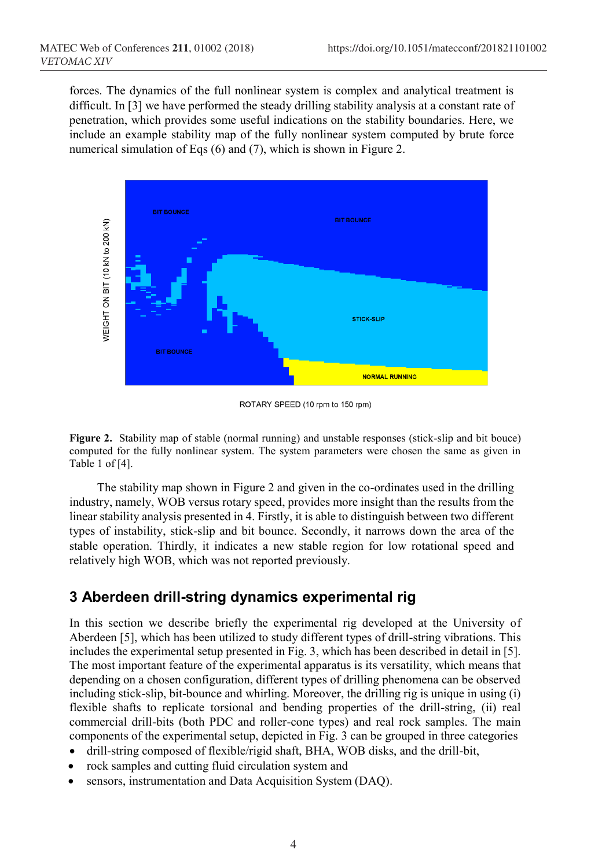forces. The dynamics of the full nonlinear system is complex and analytical treatment is difficult. In [3] we have performed the steady drilling stability analysis at a constant rate of penetration, which provides some useful indications on the stability boundaries. Here, we include an example stability map of the fully nonlinear system computed by brute force numerical simulation of Eqs (6) and (7), which is shown in Figure 2.



ROTARY SPEED (10 rpm to 150 rpm)



The stability map shown in Figure 2 and given in the co-ordinates used in the drilling industry, namely, WOB versus rotary speed, provides more insight than the results from the linear stability analysis presented in 4. Firstly, it is able to distinguish between two different types of instability, stick-slip and bit bounce. Secondly, it narrows down the area of the stable operation. Thirdly, it indicates a new stable region for low rotational speed and relatively high WOB, which was not reported previously.

## **3 Aberdeen drill-string dynamics experimental rig**

In this section we describe briefly the experimental rig developed at the University of Aberdeen [5], which has been utilized to study different types of drill-string vibrations. This includes the experimental setup presented in Fig. 3, which has been described in detail in [5]. The most important feature of the experimental apparatus is its versatility, which means that depending on a chosen configuration, different types of drilling phenomena can be observed including stick-slip, bit-bounce and whirling. Moreover, the drilling rig is unique in using (i) flexible shafts to replicate torsional and bending properties of the drill-string, (ii) real commercial drill-bits (both PDC and roller-cone types) and real rock samples. The main components of the experimental setup, depicted in Fig. 3 can be grouped in three categories

- drill-string composed of flexible/rigid shaft, BHA, WOB disks, and the drill-bit,
- rock samples and cutting fluid circulation system and
- sensors, instrumentation and Data Acquisition System (DAQ).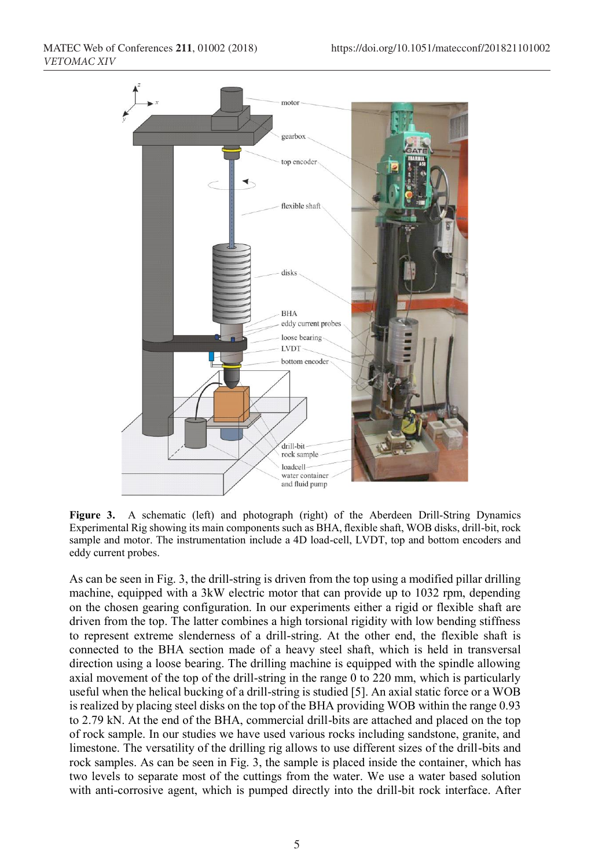

Figure 3. A schematic (left) and photograph (right) of the Aberdeen Drill-String Dynamics Experimental Rig showing its main components such as BHA, flexible shaft, WOB disks, drill-bit, rock sample and motor. The instrumentation include a 4D load-cell, LVDT, top and bottom encoders and eddy current probes.

As can be seen in Fig. 3, the drill-string is driven from the top using a modified pillar drilling machine, equipped with a 3kW electric motor that can provide up to 1032 rpm, depending on the chosen gearing configuration. In our experiments either a rigid or flexible shaft are driven from the top. The latter combines a high torsional rigidity with low bending stiffness to represent extreme slenderness of a drill-string. At the other end, the flexible shaft is connected to the BHA section made of a heavy steel shaft, which is held in transversal direction using a loose bearing. The drilling machine is equipped with the spindle allowing axial movement of the top of the drill-string in the range 0 to 220 mm, which is particularly useful when the helical bucking of a drill-string is studied [5]. An axial static force or a WOB is realized by placing steel disks on the top of the BHA providing WOB within the range 0.93 to 2.79 kN. At the end of the BHA, commercial drill-bits are attached and placed on the top of rock sample. In our studies we have used various rocks including sandstone, granite, and limestone. The versatility of the drilling rig allows to use different sizes of the drill-bits and rock samples. As can be seen in Fig. 3, the sample is placed inside the container, which has two levels to separate most of the cuttings from the water. We use a water based solution with anti-corrosive agent, which is pumped directly into the drill-bit rock interface. After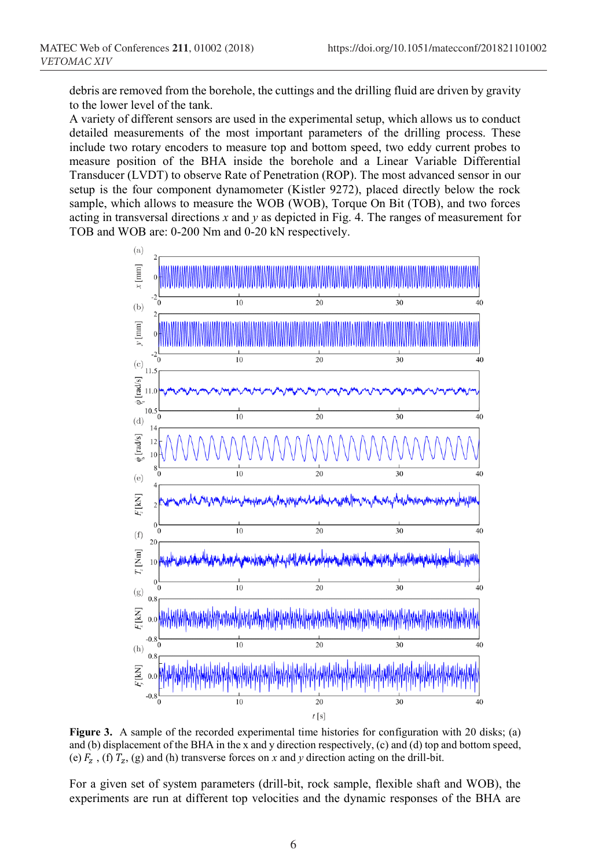debris are removed from the borehole, the cuttings and the drilling fluid are driven by gravity to the lower level of the tank.

A variety of different sensors are used in the experimental setup, which allows us to conduct detailed measurements of the most important parameters of the drilling process. These include two rotary encoders to measure top and bottom speed, two eddy current probes to measure position of the BHA inside the borehole and a Linear Variable Differential Transducer (LVDT) to observe Rate of Penetration (ROP). The most advanced sensor in our setup is the four component dynamometer (Kistler 9272), placed directly below the rock sample, which allows to measure the WOB (WOB), Torque On Bit (TOB), and two forces acting in transversal directions *x* and *y* as depicted in Fig. 4. The ranges of measurement for TOB and WOB are: 0-200 Nm and 0-20 kN respectively.



**Figure 3.** A sample of the recorded experimental time histories for configuration with 20 disks; (a) and (b) displacement of the BHA in the x and y direction respectively, (c) and (d) top and bottom speed, (e)  $F_z$ , (f)  $T_z$ , (g) and (h) transverse forces on x and y direction acting on the drill-bit.

For a given set of system parameters (drill-bit, rock sample, flexible shaft and WOB), the experiments are run at different top velocities and the dynamic responses of the BHA are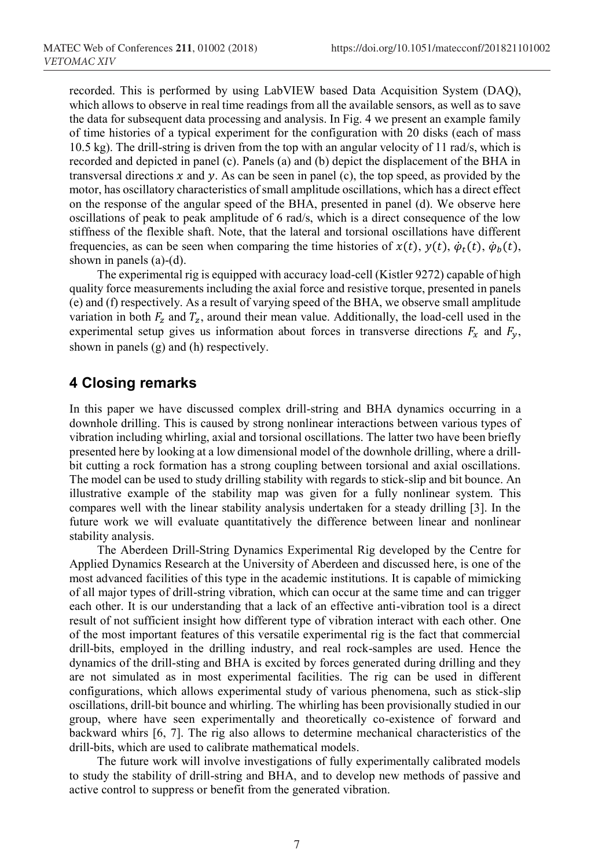recorded. This is performed by using LabVIEW based Data Acquisition System (DAQ), which allows to observe in real time readings from all the available sensors, as well as to save the data for subsequent data processing and analysis. In Fig. 4 we present an example family of time histories of a typical experiment for the configuration with 20 disks (each of mass 10.5 kg). The drill-string is driven from the top with an angular velocity of 11 rad/s, which is recorded and depicted in panel (c). Panels (a) and (b) depict the displacement of the BHA in transversal directions  $x$  and  $y$ . As can be seen in panel (c), the top speed, as provided by the motor, has oscillatory characteristics of small amplitude oscillations, which has a direct effect on the response of the angular speed of the BHA, presented in panel (d). We observe here oscillations of peak to peak amplitude of 6 rad/s, which is a direct consequence of the low stiffness of the flexible shaft. Note, that the lateral and torsional oscillations have different frequencies, as can be seen when comparing the time histories of  $x(t)$ ,  $y(t)$ ,  $\dot{\varphi}_t(t)$ ,  $\dot{\varphi}_b(t)$ , shown in panels (a)-(d).

The experimental rig is equipped with accuracy load-cell (Kistler 9272) capable of high quality force measurements including the axial force and resistive torque, presented in panels (e) and (f) respectively. As a result of varying speed of the BHA, we observe small amplitude variation in both  $F_z$  and  $T_z$ , around their mean value. Additionally, the load-cell used in the experimental setup gives us information about forces in transverse directions  $F_x$  and  $F_y$ , shown in panels (g) and (h) respectively.

### **4 Closing remarks**

In this paper we have discussed complex drill-string and BHA dynamics occurring in a downhole drilling. This is caused by strong nonlinear interactions between various types of vibration including whirling, axial and torsional oscillations. The latter two have been briefly presented here by looking at a low dimensional model of the downhole drilling, where a drillbit cutting a rock formation has a strong coupling between torsional and axial oscillations. The model can be used to study drilling stability with regards to stick-slip and bit bounce. An illustrative example of the stability map was given for a fully nonlinear system. This compares well with the linear stability analysis undertaken for a steady drilling [3]. In the future work we will evaluate quantitatively the difference between linear and nonlinear stability analysis.

The Aberdeen Drill-String Dynamics Experimental Rig developed by the Centre for Applied Dynamics Research at the University of Aberdeen and discussed here, is one of the most advanced facilities of this type in the academic institutions. It is capable of mimicking of all major types of drill-string vibration, which can occur at the same time and can trigger each other. It is our understanding that a lack of an effective anti-vibration tool is a direct result of not sufficient insight how different type of vibration interact with each other. One of the most important features of this versatile experimental rig is the fact that commercial drill-bits, employed in the drilling industry, and real rock-samples are used. Hence the dynamics of the drill-sting and BHA is excited by forces generated during drilling and they are not simulated as in most experimental facilities. The rig can be used in different configurations, which allows experimental study of various phenomena, such as stick-slip oscillations, drill-bit bounce and whirling. The whirling has been provisionally studied in our group, where have seen experimentally and theoretically co-existence of forward and backward whirs [6, 7]. The rig also allows to determine mechanical characteristics of the drill-bits, which are used to calibrate mathematical models.

The future work will involve investigations of fully experimentally calibrated models to study the stability of drill-string and BHA, and to develop new methods of passive and active control to suppress or benefit from the generated vibration.